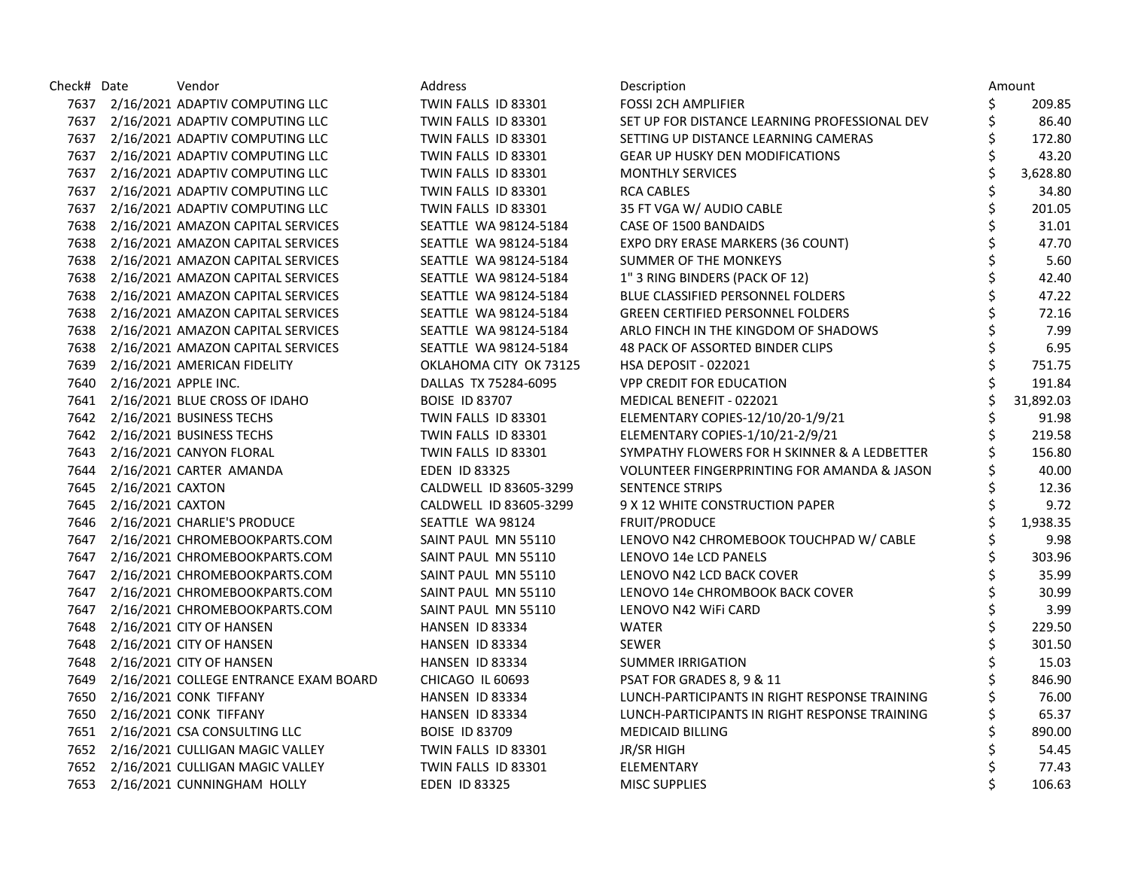| Check# Date |                           | Vendor                                     | Address                | Description                                   |    | Amount    |
|-------------|---------------------------|--------------------------------------------|------------------------|-----------------------------------------------|----|-----------|
|             |                           | 7637 2/16/2021 ADAPTIV COMPUTING LLC       | TWIN FALLS ID 83301    | <b>FOSSI 2CH AMPLIFIER</b>                    | \$ | 209.85    |
|             |                           | 7637 2/16/2021 ADAPTIV COMPUTING LLC       | TWIN FALLS ID 83301    | SET UP FOR DISTANCE LEARNING PROFESSIONAL DEV | \$ | 86.40     |
|             |                           | 7637 2/16/2021 ADAPTIV COMPUTING LLC       | TWIN FALLS ID 83301    | SETTING UP DISTANCE LEARNING CAMERAS          | \$ | 172.80    |
|             |                           | 7637 2/16/2021 ADAPTIV COMPUTING LLC       | TWIN FALLS ID 83301    | <b>GEAR UP HUSKY DEN MODIFICATIONS</b>        | \$ | 43.20     |
|             |                           | 7637 2/16/2021 ADAPTIV COMPUTING LLC       | TWIN FALLS ID 83301    | <b>MONTHLY SERVICES</b>                       | \$ | 3,628.80  |
|             |                           | 7637 2/16/2021 ADAPTIV COMPUTING LLC       | TWIN FALLS ID 83301    | <b>RCA CABLES</b>                             |    | 34.80     |
|             |                           | 7637 2/16/2021 ADAPTIV COMPUTING LLC       | TWIN FALLS ID 83301    | 35 FT VGA W/ AUDIO CABLE                      | \$ | 201.05    |
|             |                           | 7638 2/16/2021 AMAZON CAPITAL SERVICES     | SEATTLE WA 98124-5184  | CASE OF 1500 BANDAIDS                         | \$ | 31.01     |
|             |                           | 7638 2/16/2021 AMAZON CAPITAL SERVICES     | SEATTLE WA 98124-5184  | EXPO DRY ERASE MARKERS (36 COUNT)             | \$ | 47.70     |
|             |                           | 7638 2/16/2021 AMAZON CAPITAL SERVICES     | SEATTLE WA 98124-5184  | SUMMER OF THE MONKEYS                         | \$ | 5.60      |
|             |                           | 7638 2/16/2021 AMAZON CAPITAL SERVICES     | SEATTLE WA 98124-5184  | 1" 3 RING BINDERS (PACK OF 12)                | \$ | 42.40     |
|             |                           | 7638 2/16/2021 AMAZON CAPITAL SERVICES     | SEATTLE WA 98124-5184  | BLUE CLASSIFIED PERSONNEL FOLDERS             |    | 47.22     |
|             |                           | 7638 2/16/2021 AMAZON CAPITAL SERVICES     | SEATTLE WA 98124-5184  | <b>GREEN CERTIFIED PERSONNEL FOLDERS</b>      | \$ | 72.16     |
|             |                           | 7638 2/16/2021 AMAZON CAPITAL SERVICES     | SEATTLE WA 98124-5184  | ARLO FINCH IN THE KINGDOM OF SHADOWS          | \$ | 7.99      |
|             |                           | 7638 2/16/2021 AMAZON CAPITAL SERVICES     | SEATTLE WA 98124-5184  | 48 PACK OF ASSORTED BINDER CLIPS              |    | 6.95      |
|             |                           | 7639 2/16/2021 AMERICAN FIDELITY           | OKLAHOMA CITY OK 73125 | <b>HSA DEPOSIT - 022021</b>                   | \$ | 751.75    |
|             | 7640 2/16/2021 APPLE INC. |                                            | DALLAS TX 75284-6095   | <b>VPP CREDIT FOR EDUCATION</b>               | \$ | 191.84    |
|             |                           | 7641 2/16/2021 BLUE CROSS OF IDAHO         | <b>BOISE ID 83707</b>  | MEDICAL BENEFIT - 022021                      |    | 31,892.03 |
|             |                           | 7642 2/16/2021 BUSINESS TECHS              | TWIN FALLS ID 83301    | ELEMENTARY COPIES-12/10/20-1/9/21             | Ś  | 91.98     |
|             |                           | 7642 2/16/2021 BUSINESS TECHS              | TWIN FALLS ID 83301    | ELEMENTARY COPIES-1/10/21-2/9/21              |    | 219.58    |
|             |                           | 7643 2/16/2021 CANYON FLORAL               | TWIN FALLS ID 83301    | SYMPATHY FLOWERS FOR H SKINNER & A LEDBETTER  |    | 156.80    |
|             |                           | 7644 2/16/2021 CARTER AMANDA               | EDEN ID 83325          | VOLUNTEER FINGERPRINTING FOR AMANDA & JASON   | \$ | 40.00     |
|             | 7645 2/16/2021 CAXTON     |                                            | CALDWELL ID 83605-3299 | <b>SENTENCE STRIPS</b>                        | \$ | 12.36     |
|             | 7645 2/16/2021 CAXTON     |                                            | CALDWELL ID 83605-3299 | 9 X 12 WHITE CONSTRUCTION PAPER               |    | 9.72      |
|             |                           | 7646 2/16/2021 CHARLIE'S PRODUCE           | SEATTLE WA 98124       | FRUIT/PRODUCE                                 |    | 1,938.35  |
|             |                           | 7647 2/16/2021 CHROMEBOOKPARTS.COM         | SAINT PAUL MN 55110    | LENOVO N42 CHROMEBOOK TOUCHPAD W/ CABLE       |    | 9.98      |
|             |                           | 7647 2/16/2021 CHROMEBOOKPARTS.COM         | SAINT PAUL MN 55110    | LENOVO 14e LCD PANELS                         |    | 303.96    |
|             |                           | 7647 2/16/2021 CHROMEBOOKPARTS.COM         | SAINT PAUL MN 55110    | LENOVO N42 LCD BACK COVER                     | \$ | 35.99     |
|             |                           | 7647 2/16/2021 CHROMEBOOKPARTS.COM         | SAINT PAUL MN 55110    | LENOVO 14e CHROMBOOK BACK COVER               |    | 30.99     |
|             |                           | 7647 2/16/2021 CHROMEBOOKPARTS.COM         | SAINT PAUL MN 55110    | LENOVO N42 WIFI CARD                          |    | 3.99      |
|             |                           | 7648 2/16/2021 CITY OF HANSEN              | HANSEN ID 83334        | <b>WATER</b>                                  | \$ | 229.50    |
|             |                           | 7648 2/16/2021 CITY OF HANSEN              | HANSEN ID 83334        | <b>SEWER</b>                                  | \$ | 301.50    |
|             |                           | 7648 2/16/2021 CITY OF HANSEN              | HANSEN ID 83334        | <b>SUMMER IRRIGATION</b>                      | \$ | 15.03     |
|             |                           | 7649 2/16/2021 COLLEGE ENTRANCE EXAM BOARD | CHICAGO IL 60693       | PSAT FOR GRADES 8, 9 & 11                     | \$ | 846.90    |
|             |                           | 7650 2/16/2021 CONK TIFFANY                | HANSEN ID 83334        | LUNCH-PARTICIPANTS IN RIGHT RESPONSE TRAINING |    | 76.00     |
|             |                           | 7650 2/16/2021 CONK TIFFANY                | HANSEN ID 83334        | LUNCH-PARTICIPANTS IN RIGHT RESPONSE TRAINING | \$ | 65.37     |
|             |                           | 7651 2/16/2021 CSA CONSULTING LLC          | <b>BOISE ID 83709</b>  | <b>MEDICAID BILLING</b>                       | \$ | 890.00    |
|             |                           | 7652 2/16/2021 CULLIGAN MAGIC VALLEY       | TWIN FALLS ID 83301    | JR/SR HIGH                                    |    | 54.45     |
|             |                           | 7652 2/16/2021 CULLIGAN MAGIC VALLEY       | TWIN FALLS ID 83301    | ELEMENTARY                                    |    | 77.43     |
|             |                           | 7653 2/16/2021 CUNNINGHAM HOLLY            | <b>EDEN ID 83325</b>   | <b>MISC SUPPLIES</b>                          | \$ | 106.63    |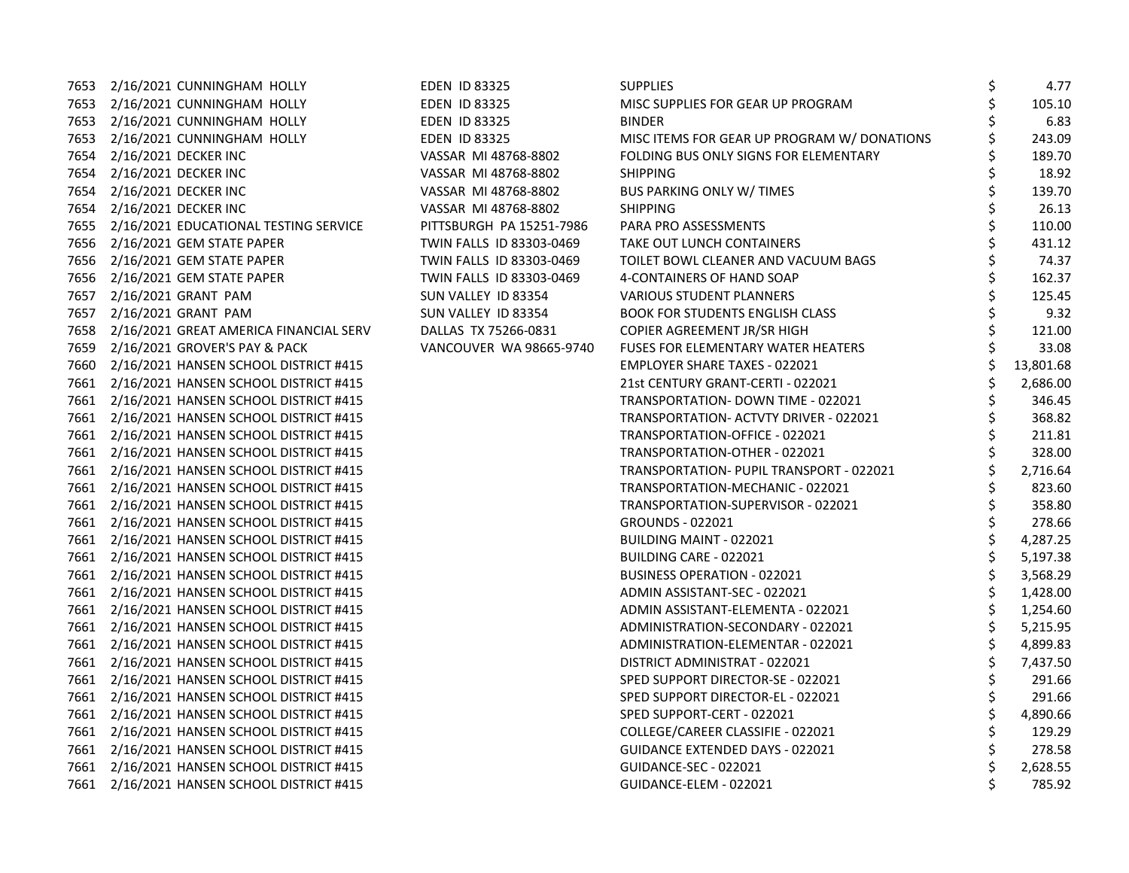|      | 7653 2/16/2021 CUNNINGHAM HOLLY             | <b>EDEN ID 83325</b>     | <b>SUPPLIES</b>                             | Ś | 4.77      |
|------|---------------------------------------------|--------------------------|---------------------------------------------|---|-----------|
|      | 7653 2/16/2021 CUNNINGHAM HOLLY             | <b>EDEN ID 83325</b>     | MISC SUPPLIES FOR GEAR UP PROGRAM           |   | 105.10    |
|      | 7653 2/16/2021 CUNNINGHAM HOLLY             | <b>EDEN ID 83325</b>     | <b>BINDER</b>                               |   | 6.83      |
|      | 7653 2/16/2021 CUNNINGHAM HOLLY             | <b>EDEN ID 83325</b>     | MISC ITEMS FOR GEAR UP PROGRAM W/ DONATIONS |   | 243.09    |
|      | 7654 2/16/2021 DECKER INC                   | VASSAR MI 48768-8802     | FOLDING BUS ONLY SIGNS FOR ELEMENTARY       |   | 189.70    |
|      | 7654 2/16/2021 DECKER INC                   | VASSAR MI 48768-8802     | <b>SHIPPING</b>                             |   | 18.92     |
| 7654 | 2/16/2021 DECKER INC                        | VASSAR MI 48768-8802     | <b>BUS PARKING ONLY W/TIMES</b>             |   | 139.70    |
| 7654 | 2/16/2021 DECKER INC                        | VASSAR MI 48768-8802     | <b>SHIPPING</b>                             |   | 26.13     |
|      | 7655 2/16/2021 EDUCATIONAL TESTING SERVICE  | PITTSBURGH PA 15251-7986 | PARA PRO ASSESSMENTS                        |   | 110.00    |
|      | 7656 2/16/2021 GEM STATE PAPER              | TWIN FALLS ID 83303-0469 | TAKE OUT LUNCH CONTAINERS                   |   | 431.12    |
|      | 7656 2/16/2021 GEM STATE PAPER              | TWIN FALLS ID 83303-0469 | TOILET BOWL CLEANER AND VACUUM BAGS         |   | 74.37     |
|      | 7656 2/16/2021 GEM STATE PAPER              | TWIN FALLS ID 83303-0469 | 4-CONTAINERS OF HAND SOAP                   |   | 162.37    |
| 7657 | 2/16/2021 GRANT PAM                         | SUN VALLEY ID 83354      | <b>VARIOUS STUDENT PLANNERS</b>             |   | 125.45    |
| 7657 | 2/16/2021 GRANT PAM                         | SUN VALLEY ID 83354      | <b>BOOK FOR STUDENTS ENGLISH CLASS</b>      |   | 9.32      |
|      | 7658 2/16/2021 GREAT AMERICA FINANCIAL SERV | DALLAS TX 75266-0831     | COPIER AGREEMENT JR/SR HIGH                 |   | 121.00    |
|      | 7659 2/16/2021 GROVER'S PAY & PACK          | VANCOUVER WA 98665-9740  | <b>FUSES FOR ELEMENTARY WATER HEATERS</b>   |   | 33.08     |
|      | 7660 2/16/2021 HANSEN SCHOOL DISTRICT #415  |                          | <b>EMPLOYER SHARE TAXES - 022021</b>        |   | 13,801.68 |
|      | 7661 2/16/2021 HANSEN SCHOOL DISTRICT #415  |                          | 21st CENTURY GRANT-CERTI - 022021           |   | 2,686.00  |
|      | 7661 2/16/2021 HANSEN SCHOOL DISTRICT #415  |                          | TRANSPORTATION- DOWN TIME - 022021          |   | 346.45    |
|      | 7661 2/16/2021 HANSEN SCHOOL DISTRICT #415  |                          | TRANSPORTATION- ACTVTY DRIVER - 022021      |   | 368.82    |
|      | 7661 2/16/2021 HANSEN SCHOOL DISTRICT #415  |                          | TRANSPORTATION-OFFICE - 022021              |   | 211.81    |
|      | 7661 2/16/2021 HANSEN SCHOOL DISTRICT #415  |                          | TRANSPORTATION-OTHER - 022021               |   | 328.00    |
|      | 7661 2/16/2021 HANSEN SCHOOL DISTRICT #415  |                          | TRANSPORTATION- PUPIL TRANSPORT - 022021    |   | 2,716.64  |
|      | 7661 2/16/2021 HANSEN SCHOOL DISTRICT #415  |                          | TRANSPORTATION-MECHANIC - 022021            |   | 823.60    |
|      | 7661 2/16/2021 HANSEN SCHOOL DISTRICT #415  |                          | TRANSPORTATION-SUPERVISOR - 022021          |   | 358.80    |
|      | 7661 2/16/2021 HANSEN SCHOOL DISTRICT #415  |                          | <b>GROUNDS - 022021</b>                     |   | 278.66    |
|      | 7661 2/16/2021 HANSEN SCHOOL DISTRICT #415  |                          | BUILDING MAINT - 022021                     |   | 4,287.25  |
|      | 7661 2/16/2021 HANSEN SCHOOL DISTRICT #415  |                          | BUILDING CARE - 022021                      |   | 5,197.38  |
|      | 7661 2/16/2021 HANSEN SCHOOL DISTRICT #415  |                          | BUSINESS OPERATION - 022021                 |   | 3,568.29  |
|      | 7661 2/16/2021 HANSEN SCHOOL DISTRICT #415  |                          | ADMIN ASSISTANT-SEC - 022021                |   | 1,428.00  |
|      | 7661 2/16/2021 HANSEN SCHOOL DISTRICT #415  |                          | ADMIN ASSISTANT-ELEMENTA - 022021           |   | 1,254.60  |
|      | 7661 2/16/2021 HANSEN SCHOOL DISTRICT #415  |                          | ADMINISTRATION-SECONDARY - 022021           |   | 5,215.95  |
|      | 7661 2/16/2021 HANSEN SCHOOL DISTRICT #415  |                          | ADMINISTRATION-ELEMENTAR - 022021           |   | 4,899.83  |
|      | 7661 2/16/2021 HANSEN SCHOOL DISTRICT #415  |                          | DISTRICT ADMINISTRAT - 022021               |   | 7,437.50  |
|      | 7661 2/16/2021 HANSEN SCHOOL DISTRICT #415  |                          | SPED SUPPORT DIRECTOR-SE - 022021           |   | 291.66    |
|      | 7661 2/16/2021 HANSEN SCHOOL DISTRICT #415  |                          | SPED SUPPORT DIRECTOR-EL - 022021           |   | 291.66    |
|      | 7661 2/16/2021 HANSEN SCHOOL DISTRICT #415  |                          | SPED SUPPORT-CERT - 022021                  |   | 4,890.66  |
|      | 7661 2/16/2021 HANSEN SCHOOL DISTRICT #415  |                          | COLLEGE/CAREER CLASSIFIE - 022021           |   | 129.29    |
|      | 7661 2/16/2021 HANSEN SCHOOL DISTRICT #415  |                          | <b>GUIDANCE EXTENDED DAYS - 022021</b>      |   | 278.58    |
|      | 7661 2/16/2021 HANSEN SCHOOL DISTRICT #415  |                          | GUIDANCE-SEC - 022021                       |   | 2,628.55  |
|      | 7661 2/16/2021 HANSEN SCHOOL DISTRICT #415  |                          | GUIDANCE-ELEM - 022021                      |   | 785.92    |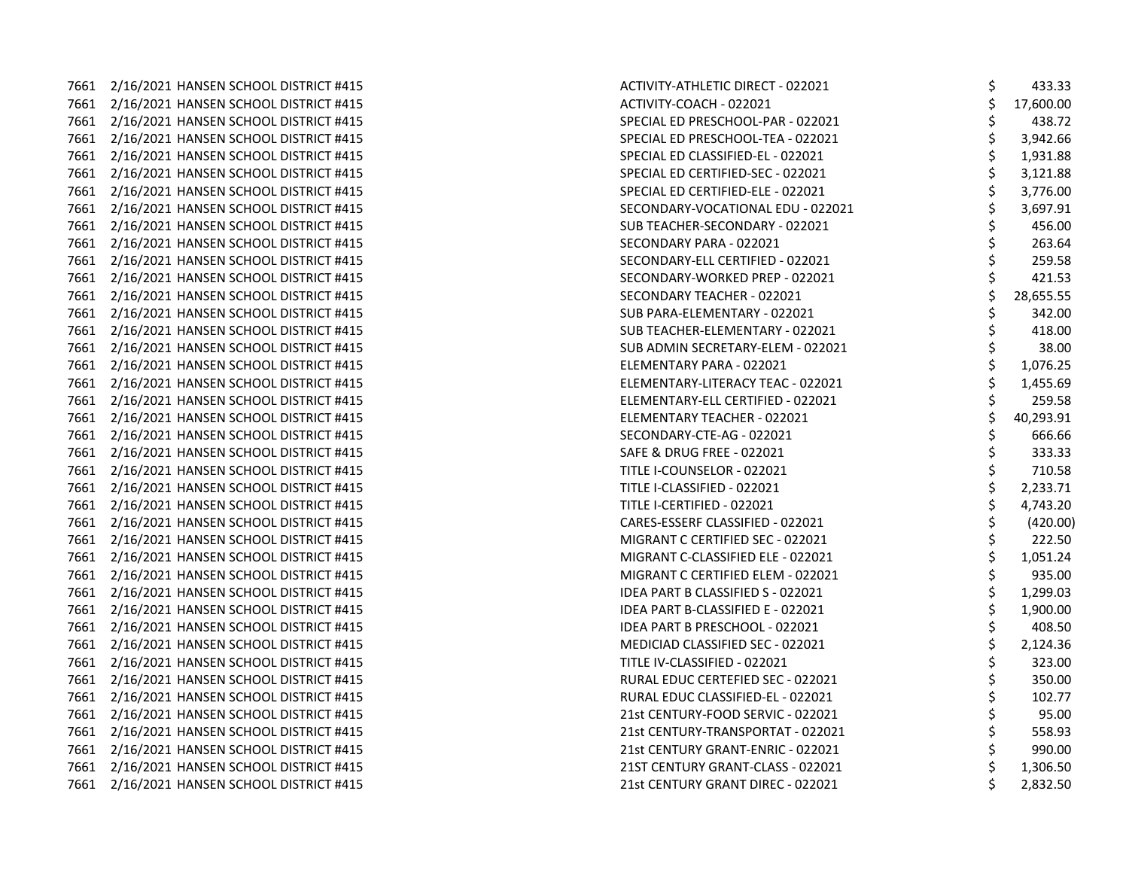7661 2/16/2021 HANSEN SCHOOL DISTRICT #415 7661 2/16/2021 HANSEN SCHOOL DISTRICT #415 7661 2/16/2021 HANSEN SCHOOL DISTRICT #415 7661 2/16/2021 HANSEN SCHOOL DISTRICT #415 7661 2/16/2021 HANSEN SCHOOL DISTRICT #415 7661 2/16/2021 HANSEN SCHOOL DISTRICT #415 7661 2/16/2021 HANSEN SCHOOL DISTRICT #415 7661 2/16/2021 HANSEN SCHOOL DISTRICT #415 7661 2/16/2021 HANSEN SCHOOL DISTRICT #415 7661 2/16/2021 HANSEN SCHOOL DISTRICT #415 7661 2/16/2021 HANSEN SCHOOL DISTRICT #415 7661 2/16/2021 HANSEN SCHOOL DISTRICT #415 7661 2/16/2021 HANSEN SCHOOL DISTRICT #415 7661 2/16/2021 HANSEN SCHOOL DISTRICT #415 7661 2/16/2021 HANSEN SCHOOL DISTRICT #415 7661 2/16/2021 HANSEN SCHOOL DISTRICT #415 7661 2/16/2021 HANSEN SCHOOL DISTRICT #415 7661 2/16/2021 HANSEN SCHOOL DISTRICT #415 7661 2/16/2021 HANSEN SCHOOL DISTRICT #415 7661 2/16/2021 HANSEN SCHOOL DISTRICT #415 7661 2/16/2021 HANSEN SCHOOL DISTRICT #415 7661 2/16/2021 HANSEN SCHOOL DISTRICT #415 7661 2/16/2021 HANSEN SCHOOL DISTRICT #415 7661 2/16/2021 HANSEN SCHOOL DISTRICT #415 7661 2/16/2021 HANSEN SCHOOL DISTRICT #415 7661 2/16/2021 HANSEN SCHOOL DISTRICT #415 7661 2/16/2021 HANSEN SCHOOL DISTRICT #415 7661 2/16/2021 HANSEN SCHOOL DISTRICT #415 7661 2/16/2021 HANSEN SCHOOL DISTRICT #415 7661 2/16/2021 HANSEN SCHOOL DISTRICT #415 7661 2/16/2021 HANSEN SCHOOL DISTRICT #415 7661 2/16/2021 HANSEN SCHOOL DISTRICT #415 7661 2/16/2021 HANSEN SCHOOL DISTRICT #415 7661 2/16/2021 HANSEN SCHOOL DISTRICT #415 7661 2/16/2021 HANSEN SCHOOL DISTRICT #415 7661 2/16/2021 HANSEN SCHOOL DISTRICT #415 7661 2/16/2021 HANSEN SCHOOL DISTRICT #415 7661 2/16/2021 HANSEN SCHOOL DISTRICT #415 7661 2/16/2021 HANSEN SCHOOL DISTRICT #415 7661 2/16/2021 HANSEN SCHOOL DISTRICT #415 7661 2/16/2021 HANSEN SCHOOL DISTRICT #415

| <b>ACTIVITY-ATHLETIC DIRECT - 022021</b> | \$          | 433.33    |
|------------------------------------------|-------------|-----------|
| ACTIVITY-COACH - 022021                  |             | 17,600.00 |
| SPECIAL ED PRESCHOOL-PAR - 022021        | \$\$\$      | 438.72    |
| SPECIAL ED PRESCHOOL-TEA - 022021        |             | 3,942.66  |
| SPECIAL ED CLASSIFIED-EL - 022021        |             | 1,931.88  |
| SPECIAL ED CERTIFIED-SEC - 022021        |             | 3,121.88  |
| SPECIAL ED CERTIFIED-ELE - 022021        |             | 3,776.00  |
| SECONDARY-VOCATIONAL EDU - 022021        | やややや        | 3,697.91  |
| SUB TEACHER-SECONDARY - 022021           |             | 456.00    |
| SECONDARY PARA - 022021                  | さやさ さん      | 263.64    |
| SECONDARY-ELL CERTIFIED - 022021         |             | 259.58    |
| SECONDARY-WORKED PREP - 022021           |             | 421.53    |
| SECONDARY TEACHER - 022021               |             | 28,655.55 |
| SUB PARA-ELEMENTARY - 022021             |             | 342.00    |
| SUB TEACHER-ELEMENTARY - 022021          |             | 418.00    |
| SUB ADMIN SECRETARY-ELEM - 022021        |             | 38.00     |
| ELEMENTARY PARA - 022021                 | \$<br>\$    | 1,076.25  |
| ELEMENTARY-LITERACY TEAC - 022021        |             | 1,455.69  |
| ELEMENTARY-ELL CERTIFIED - 022021        |             | 259.58    |
| ELEMENTARY TEACHER - 022021              | ぐぐぐ ぐぐ ぐん   | 40,293.91 |
| SECONDARY-CTE-AG - 022021                |             | 666.66    |
| <b>SAFE &amp; DRUG FREE - 022021</b>     |             | 333.33    |
| TITLE I-COUNSELOR - 022021               |             | 710.58    |
| TITLE I-CLASSIFIED - 022021              |             | 2,233.71  |
| TITLE I-CERTIFIED - 022021               |             | 4,743.20  |
| CARES-ESSERF CLASSIFIED - 022021         |             | (420.00)  |
| MIGRANT C CERTIFIED SEC - 022021         | \$<br>\$    | 222.50    |
| MIGRANT C-CLASSIFIED ELE - 022021        |             | 1,051.24  |
| MIGRANT C CERTIFIED ELEM - 022021        |             | 935.00    |
| <b>IDEA PART B CLASSIFIED S - 022021</b> | \$ \$ \$ \$ | 1,299.03  |
| IDEA PART B-CLASSIFIED E - 022021        |             | 1,900.00  |
| IDEA PART B PRESCHOOL - 022021           |             | 408.50    |
| MEDICIAD CLASSIFIED SEC - 022021         | \$<br>\$    | 2,124.36  |
| TITLE IV-CLASSIFIED - 022021             |             | 323.00    |
| RURAL EDUC CERTEFIED SEC - 022021        | \$ \$ \$ \$ | 350.00    |
| RURAL EDUC CLASSIFIED-EL - 022021        |             | 102.77    |
| 21st CENTURY-FOOD SERVIC - 022021        |             | 95.00     |
| 21st CENTURY-TRANSPORTAT - 022021        |             | 558.93    |
| 21st CENTURY GRANT-ENRIC - 022021        | \$          | 990.00    |
| 21ST CENTURY GRANT-CLASS - 022021        | \$          | 1,306.50  |
| 21st CENTURY GRANT DIREC - 022021        | \$          | 2,832.50  |
|                                          |             |           |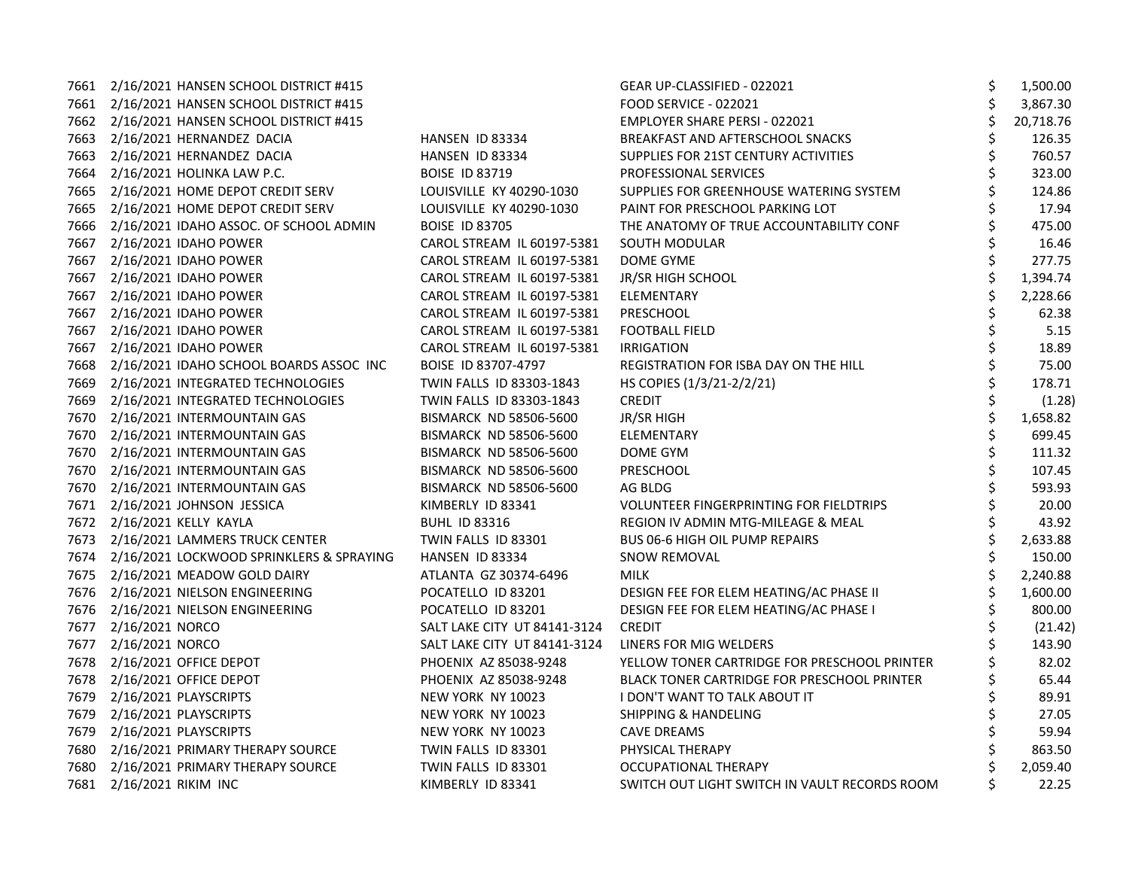|      | 7661 2/16/2021 HANSEN SCHOOL DISTRICT #415 |                               | GEAR UP-CLASSIFIED - 022021                        | \$ | 1,500.00  |
|------|--------------------------------------------|-------------------------------|----------------------------------------------------|----|-----------|
|      | 7661 2/16/2021 HANSEN SCHOOL DISTRICT #415 |                               | <b>FOOD SERVICE - 022021</b>                       | \$ | 3,867.30  |
|      | 7662 2/16/2021 HANSEN SCHOOL DISTRICT #415 |                               | <b>EMPLOYER SHARE PERSI - 022021</b>               |    | 20,718.76 |
|      | 7663 2/16/2021 HERNANDEZ DACIA             | HANSEN ID 83334               | BREAKFAST AND AFTERSCHOOL SNACKS                   | \$ | 126.35    |
|      | 7663 2/16/2021 HERNANDEZ DACIA             | HANSEN ID 83334               | SUPPLIES FOR 21ST CENTURY ACTIVITIES               | \$ | 760.57    |
|      | 7664 2/16/2021 HOLINKA LAW P.C.            | <b>BOISE ID 83719</b>         | PROFESSIONAL SERVICES                              |    | 323.00    |
|      | 7665 2/16/2021 HOME DEPOT CREDIT SERV      | LOUISVILLE KY 40290-1030      | SUPPLIES FOR GREENHOUSE WATERING SYSTEM            | \$ | 124.86    |
| 7665 | 2/16/2021 HOME DEPOT CREDIT SERV           | LOUISVILLE KY 40290-1030      | PAINT FOR PRESCHOOL PARKING LOT                    |    | 17.94     |
| 7666 | 2/16/2021 IDAHO ASSOC. OF SCHOOL ADMIN     | <b>BOISE ID 83705</b>         | THE ANATOMY OF TRUE ACCOUNTABILITY CONF            | Ś  | 475.00    |
| 7667 | 2/16/2021 IDAHO POWER                      | CAROL STREAM IL 60197-5381    | SOUTH MODULAR                                      | \$ | 16.46     |
|      | 7667 2/16/2021 IDAHO POWER                 | CAROL STREAM IL 60197-5381    | DOME GYME                                          | \$ | 277.75    |
|      | 7667 2/16/2021 IDAHO POWER                 | CAROL STREAM IL 60197-5381    | JR/SR HIGH SCHOOL                                  |    | 1,394.74  |
|      | 7667 2/16/2021 IDAHO POWER                 | CAROL STREAM IL 60197-5381    | ELEMENTARY                                         |    | 2,228.66  |
| 7667 | 2/16/2021 IDAHO POWER                      | CAROL STREAM IL 60197-5381    | PRESCHOOL                                          |    | 62.38     |
| 7667 | 2/16/2021 IDAHO POWER                      | CAROL STREAM IL 60197-5381    | <b>FOOTBALL FIELD</b>                              | \$ | 5.15      |
| 7667 | 2/16/2021 IDAHO POWER                      | CAROL STREAM IL 60197-5381    | <b>IRRIGATION</b>                                  | \$ | 18.89     |
| 7668 | 2/16/2021 IDAHO SCHOOL BOARDS ASSOC INC    | BOISE ID 83707-4797           | REGISTRATION FOR ISBA DAY ON THE HILL              | \$ | 75.00     |
|      | 7669 2/16/2021 INTEGRATED TECHNOLOGIES     | TWIN FALLS ID 83303-1843      | HS COPIES (1/3/21-2/2/21)                          |    | 178.71    |
| 7669 | 2/16/2021 INTEGRATED TECHNOLOGIES          | TWIN FALLS ID 83303-1843      | <b>CREDIT</b>                                      | \$ | (1.28)    |
| 7670 | 2/16/2021 INTERMOUNTAIN GAS                | BISMARCK ND 58506-5600        | JR/SR HIGH                                         | \$ | 1,658.82  |
|      | 7670 2/16/2021 INTERMOUNTAIN GAS           | BISMARCK ND 58506-5600        | <b>ELEMENTARY</b>                                  | \$ | 699.45    |
| 7670 | 2/16/2021 INTERMOUNTAIN GAS                | <b>BISMARCK ND 58506-5600</b> | DOME GYM                                           | \$ | 111.32    |
|      | 7670 2/16/2021 INTERMOUNTAIN GAS           | BISMARCK ND 58506-5600        | PRESCHOOL                                          | \$ | 107.45    |
|      | 7670 2/16/2021 INTERMOUNTAIN GAS           | BISMARCK ND 58506-5600        | AG BLDG                                            |    | 593.93    |
|      | 7671 2/16/2021 JOHNSON JESSICA             | KIMBERLY ID 83341             | <b>VOLUNTEER FINGERPRINTING FOR FIELDTRIPS</b>     |    | 20.00     |
|      | 7672 2/16/2021 KELLY KAYLA                 | <b>BUHL ID 83316</b>          | REGION IV ADMIN MTG-MILEAGE & MEAL                 | \$ | 43.92     |
|      | 7673 2/16/2021 LAMMERS TRUCK CENTER        | TWIN FALLS ID 83301           | <b>BUS 06-6 HIGH OIL PUMP REPAIRS</b>              | \$ | 2,633.88  |
| 7674 | 2/16/2021 LOCKWOOD SPRINKLERS & SPRAYING   | HANSEN ID 83334               | <b>SNOW REMOVAL</b>                                | \$ | 150.00    |
|      | 7675 2/16/2021 MEADOW GOLD DAIRY           | ATLANTA GZ 30374-6496         | <b>MILK</b>                                        |    | 2,240.88  |
|      | 7676 2/16/2021 NIELSON ENGINEERING         | POCATELLO ID 83201            | DESIGN FEE FOR ELEM HEATING/AC PHASE II            |    | 1,600.00  |
|      | 7676 2/16/2021 NIELSON ENGINEERING         | POCATELLO ID 83201            | DESIGN FEE FOR ELEM HEATING/AC PHASE I             |    | 800.00    |
|      | 7677 2/16/2021 NORCO                       | SALT LAKE CITY UT 84141-3124  | <b>CREDIT</b>                                      | \$ | (21.42)   |
| 7677 | 2/16/2021 NORCO                            | SALT LAKE CITY UT 84141-3124  | LINERS FOR MIG WELDERS                             |    | 143.90    |
| 7678 | 2/16/2021 OFFICE DEPOT                     | PHOENIX AZ 85038-9248         | YELLOW TONER CARTRIDGE FOR PRESCHOOL PRINTER       | Ś. | 82.02     |
|      | 7678 2/16/2021 OFFICE DEPOT                | PHOENIX AZ 85038-9248         | <b>BLACK TONER CARTRIDGE FOR PRESCHOOL PRINTER</b> | \$ | 65.44     |
|      | 7679 2/16/2021 PLAYSCRIPTS                 | NEW YORK NY 10023             | <b>I DON'T WANT TO TALK ABOUT IT</b>               |    | 89.91     |
|      | 7679 2/16/2021 PLAYSCRIPTS                 | NEW YORK NY 10023             | <b>SHIPPING &amp; HANDELING</b>                    |    | 27.05     |
| 7679 | 2/16/2021 PLAYSCRIPTS                      | NEW YORK NY 10023             | <b>CAVE DREAMS</b>                                 | \$ | 59.94     |
|      | 7680 2/16/2021 PRIMARY THERAPY SOURCE      | TWIN FALLS ID 83301           | PHYSICAL THERAPY                                   |    | 863.50    |
|      | 7680 2/16/2021 PRIMARY THERAPY SOURCE      | TWIN FALLS ID 83301           | OCCUPATIONAL THERAPY                               |    | 2,059.40  |
|      | 7681 2/16/2021 RIKIM INC                   | KIMBERLY ID 83341             | SWITCH OUT LIGHT SWITCH IN VAULT RECORDS ROOM      | Ś  | 22.25     |